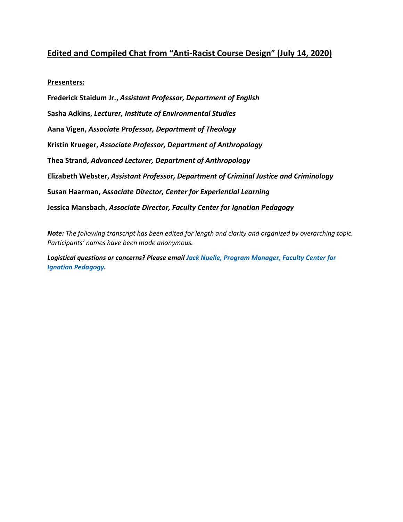# **Edited and Compiled Chat from "Anti-Racist Course Design" (July 14, 2020)**

#### **Presenters:**

**Frederick Staidum Jr.,** *Assistant Professor, Department of English* **Sasha Adkins,** *Lecturer, Institute of Environmental Studies* **Aana Vigen,** *Associate Professor, Department of Theology* **Kristin Krueger,** *Associate Professor, Department of Anthropology* **Thea Strand,** *Advanced Lecturer, Department of Anthropology* **Elizabeth Webster,** *Assistant Professor, Department of Criminal Justice and Criminology* **Susan Haarman,** *Associate Director, Center for Experiential Learning* **Jessica Mansbach,** *Associate Director, Faculty Center for Ignatian Pedagogy*

*Note: The following transcript has been edited for length and clarity and organized by overarching topic. Participants' names have been made anonymous.*

*Logistical questions or concerns? Please email [Jack Nuelle, Program Manager, Faculty Center for](mailto:jnuelle@luc.edu)  [Ignatian Pedagogy.](mailto:jnuelle@luc.edu)*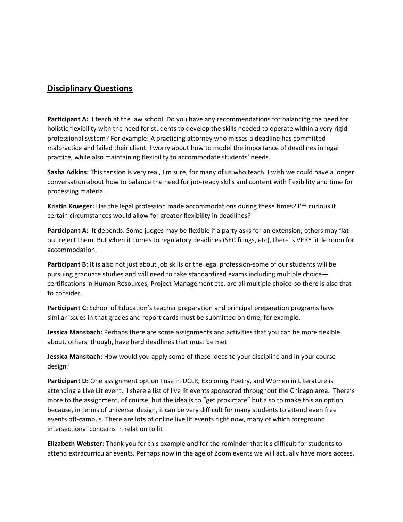# **Disciplinary Questions**

**Participant A:** I teach at the law school. Do you have any recommendations for balancing the need for holistic flexibility with the need for students to develop the skills needed to operate within a very rigid professional system? For example: A practicing attorney who misses a deadline has committed malpractice and failed their client. I worry about how to model the importance of deadlines in legal practice, while also maintaining flexibility to accommodate students' needs.

**Sasha Adkins:** This tension is very real, I'm sure, for many of us who teach. I wish we could have a longer conversation about how to balance the need for job-ready skills and content with flexibility and time for processing material

**Kristin Krueger:** Has the legal profession made accommodations during these times? I'm curious if certain circumstances would allow for greater flexibility in deadlines?

**Participant A:** It depends. Some judges may be flexible if a party asks for an extension; others may flatout reject them. But when it comes to regulatory deadlines (SEC filings, etc), there is VERY little room for accommodation.

**Participant B:** It is also not just about job skills or the legal profession-some of our students will be pursuing graduate studies and will need to take standardized exams including multiple choice certifications in Human Resources, Project Management etc. are all multiple choice-so there is also that to consider.

**Participant C:** School of Education's teacher preparation and principal preparation programs have similar issues in that grades and report cards must be submitted on time, for example.

**Jessica Mansbach:** Perhaps there are some assignments and activities that you can be more flexible about. others, though, have hard deadlines that must be met

**Jessica Mansbach:** How would you apply some of these ideas to your discipline and in your course design?

**Participant D:** One assignment option I use in UCLR, Exploring Poetry, and Women in Literature is attending a Live Lit event. I share a list of live lit events sponsored throughout the Chicago area. There's more to the assignment, of course, but the idea is to "get proximate" but also to make this an option because, in terms of universal design, it can be very difficult for many students to attend even free events off-campus. There are lots of online live lit events right now, many of which foreground intersectional concerns in relation to lit

**Elizabeth Webster:** Thank you for this example and for the reminder that it's difficult for students to attend extracurricular events. Perhaps now in the age of Zoom events we will actually have more access.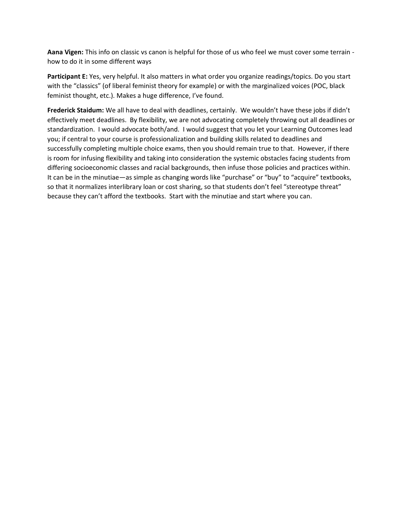**Aana Vigen:** This info on classic vs canon is helpful for those of us who feel we must cover some terrain how to do it in some different ways

**Participant E:** Yes, very helpful. It also matters in what order you organize readings/topics. Do you start with the "classics" (of liberal feminist theory for example) or with the marginalized voices (POC, black feminist thought, etc.). Makes a huge difference, I've found.

**Frederick Staidum:** We all have to deal with deadlines, certainly. We wouldn't have these jobs if didn't effectively meet deadlines. By flexibility, we are not advocating completely throwing out all deadlines or standardization. I would advocate both/and. I would suggest that you let your Learning Outcomes lead you; if central to your course is professionalization and building skills related to deadlines and successfully completing multiple choice exams, then you should remain true to that. However, if there is room for infusing flexibility and taking into consideration the systemic obstacles facing students from differing socioeconomic classes and racial backgrounds, then infuse those policies and practices within. It can be in the minutiae—as simple as changing words like "purchase" or "buy" to "acquire" textbooks, so that it normalizes interlibrary loan or cost sharing, so that students don't feel "stereotype threat" because they can't afford the textbooks. Start with the minutiae and start where you can.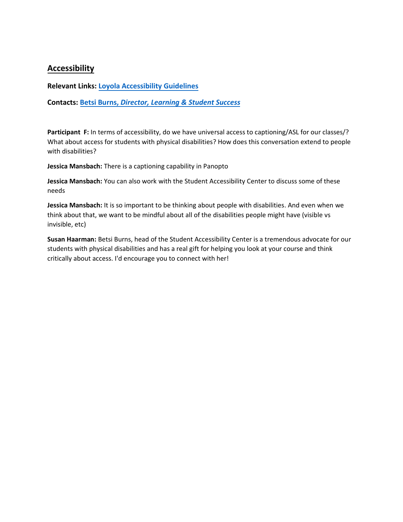# **Accessibility**

**Relevant Links: L[oyola Accessibility Guidelines](https://www.luc.edu/sac/accessibilityguidelines/)**

**Contacts: Betsi Burns,** *[Director, Learning & Student Success](mailto:bburns4@luc.edu)*

Participant F: In terms of accessibility, do we have universal access to captioning/ASL for our classes/? What about access for students with physical disabilities? How does this conversation extend to people with disabilities?

**Jessica Mansbach:** There is a captioning capability in Panopto

**Jessica Mansbach:** You can also work with the Student Accessibility Center to discuss some of these needs

**Jessica Mansbach:** It is so important to be thinking about people with disabilities. And even when we think about that, we want to be mindful about all of the disabilities people might have (visible vs invisible, etc)

**Susan Haarman:** Betsi Burns, head of the Student Accessibility Center is a tremendous advocate for our students with physical disabilities and has a real gift for helping you look at your course and think critically about access. I'd encourage you to connect with her!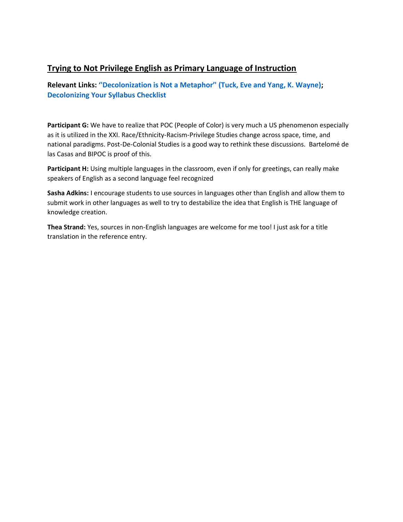# **Trying to Not Privilege English as Primary Language of Instruction**

### **Relevant Links: ''De[colonization is Not a Metaphor''](https://clas.osu.edu/sites/clas.osu.edu/files/Tuck%20and%20Yang%202012%20Decolonization%20is%20not%20a%20metaphor.pdf) (Tuck, Eve and Yang, K. Wayne); [Decolonizing Your Syllabus Checklist](https://www.luc.edu/fcip/coursedesign/decolonizingyoursyllabus/)**

**Participant G:** We have to realize that POC (People of Color) is very much a US phenomenon especially as it is utilized in the XXI. Race/Ethnicity-Racism-Privilege Studies change across space, time, and national paradigms. Post-De-Colonial Studies is a good way to rethink these discussions. Bartelomé de las Casas and BIPOC is proof of this.

**Participant H:** Using multiple languages in the classroom, even if only for greetings, can really make speakers of English as a second language feel recognized

**Sasha Adkins:** I encourage students to use sources in languages other than English and allow them to submit work in other languages as well to try to destabilize the idea that English is THE language of knowledge creation.

**Thea Strand:** Yes, sources in non-English languages are welcome for me too! I just ask for a title translation in the reference entry.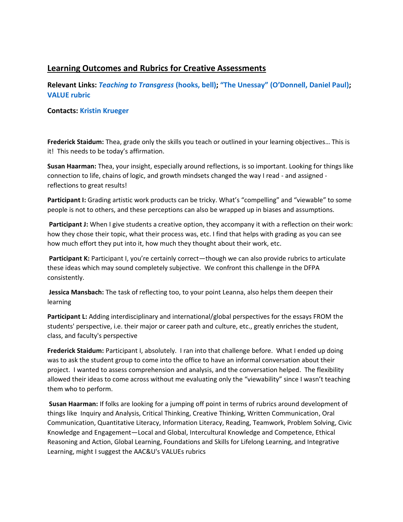# **Learning Outcomes and Rubrics for Creative Assessments**

**Relevant Links:** *[Teaching to Transgress](https://ebookcentral-proquest-com.flagship.luc.edu/lib/luc/reader.action?docID=1656118&ppg=176)* **(hooks, bell); ["The Unessay" \(O'Donnell,](http://people.uleth.ca/~daniel.odonnell/Teaching/the-unessay) Daniel Paul); [VALUE rubric](https://www.aacu.org/value)**

#### **Contacts: [Kristin Krueger](mailto:kkrueger4@luc.edu.)**

**Frederick Staidum:** Thea, grade only the skills you teach or outlined in your learning objectives… This is it! This needs to be today's affirmation.

**Susan Haarman:** Thea, your insight, especially around reflections, is so important. Looking for things like connection to life, chains of logic, and growth mindsets changed the way I read - and assigned reflections to great results!

**Participant I:** Grading artistic work products can be tricky. What's "compelling" and "viewable" to some people is not to others, and these perceptions can also be wrapped up in biases and assumptions.

Participant J: When I give students a creative option, they accompany it with a reflection on their work: how they chose their topic, what their process was, etc. I find that helps with grading as you can see how much effort they put into it, how much they thought about their work, etc.

Participant K: Participant I, you're certainly correct—though we can also provide rubrics to articulate these ideas which may sound completely subjective. We confront this challenge in the DFPA consistently.

**Jessica Mansbach:** The task of reflecting too, to your point Leanna, also helps them deepen their learning

**Participant L:** Adding interdisciplinary and international/global perspectives for the essays FROM the students' perspective, i.e. their major or career path and culture, etc., greatly enriches the student, class, and faculty's perspective

**Frederick Staidum:** Participant I, absolutely. I ran into that challenge before. What I ended up doing was to ask the student group to come into the office to have an informal conversation about their project. I wanted to assess comprehension and analysis, and the conversation helped. The flexibility allowed their ideas to come across without me evaluating only the "viewability" since I wasn't teaching them who to perform.

**Susan Haarman:** If folks are looking for a jumping off point in terms of rubrics around development of things like Inquiry and Analysis, Critical Thinking, Creative Thinking, Written Communication, Oral Communication, Quantitative Literacy, Information Literacy, Reading, Teamwork, Problem Solving, Civic Knowledge and Engagement—Local and Global, Intercultural Knowledge and Competence, Ethical Reasoning and Action, Global Learning, Foundations and Skills for Lifelong Learning, and Integrative Learning, might I suggest the AAC&U's VALUEs rubrics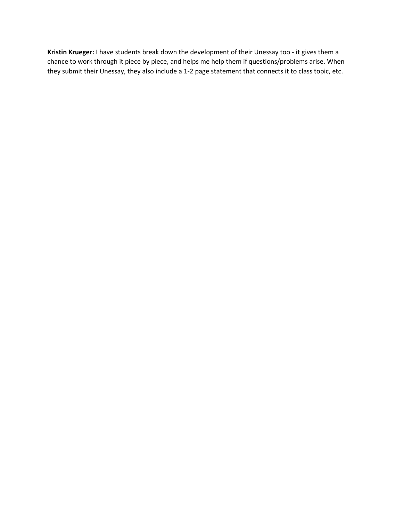**Kristin Krueger:** I have students break down the development of their Unessay too - it gives them a chance to work through it piece by piece, and helps me help them if questions/problems arise. When they submit their Unessay, they also include a 1-2 page statement that connects it to class topic, etc.